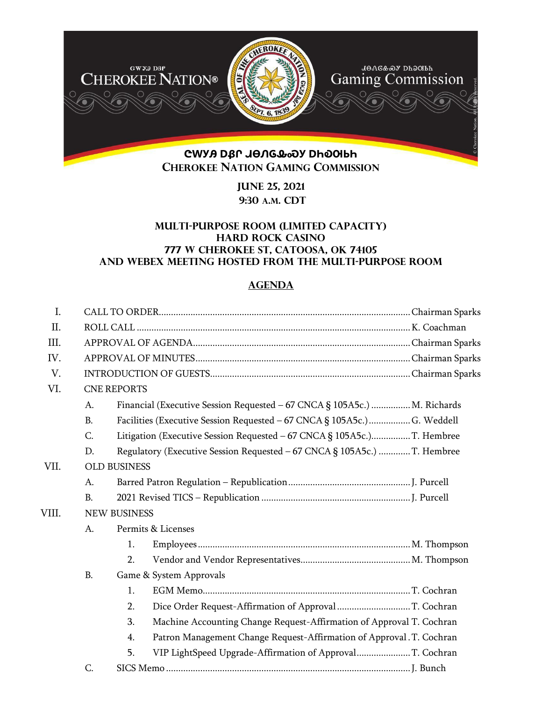

**June 25, 2021 9:30 A.M. CDT** 

## **Multi-purpose room (limited Capacity) Hard rock casino 777 W Cherokee st, Catoosa, OK 74105 and webex meeting hosted from the Multi-purpose room**

# **AGENDA**

| Ι.    |                |                                                                            |  |
|-------|----------------|----------------------------------------------------------------------------|--|
| II.   |                |                                                                            |  |
| III.  |                |                                                                            |  |
| IV.   |                |                                                                            |  |
| V.    |                |                                                                            |  |
| VI.   |                | <b>CNE REPORTS</b>                                                         |  |
|       | A.             | Financial (Executive Session Requested - 67 CNCA § 105A5c.)  M. Richards   |  |
|       | <b>B.</b>      | Facilities (Executive Session Requested - 67 CNCA § 105A5c.)  G. Weddell   |  |
|       | C.             | Litigation (Executive Session Requested - 67 CNCA § 105A5c.)T. Hembree     |  |
|       | D.             | Regulatory (Executive Session Requested - 67 CNCA § 105A5c.) T. Hembree    |  |
| VII.  |                | <b>OLD BUSINESS</b>                                                        |  |
|       | A.             |                                                                            |  |
|       | $\mathbf{B}$ . |                                                                            |  |
| VIII. |                | <b>NEW BUSINESS</b>                                                        |  |
|       | A.             | Permits & Licenses                                                         |  |
|       |                | 1.                                                                         |  |
|       |                | 2.                                                                         |  |
|       | <b>B.</b>      | Game & System Approvals                                                    |  |
|       |                | 1.                                                                         |  |
|       |                | 2.<br>Dice Order Request-Affirmation of Approval T. Cochran                |  |
|       |                | Machine Accounting Change Request-Affirmation of Approval T. Cochran<br>3. |  |
|       |                | Patron Management Change Request-Affirmation of Approval. T. Cochran<br>4. |  |
|       |                | VIP LightSpeed Upgrade-Affirmation of ApprovalT. Cochran<br>5.             |  |
|       | C.             |                                                                            |  |